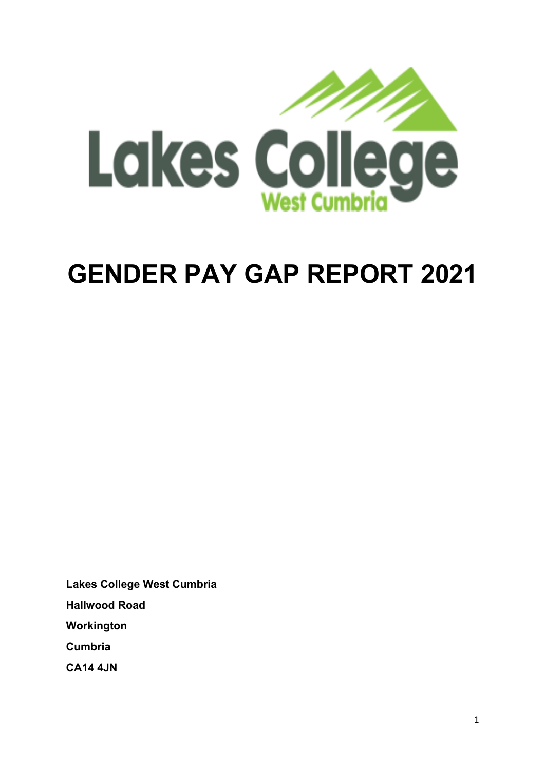

# **GENDER PAY GAP REPORT 2021**

**Lakes College West Cumbria Hallwood Road Workington Cumbria CA14 4JN**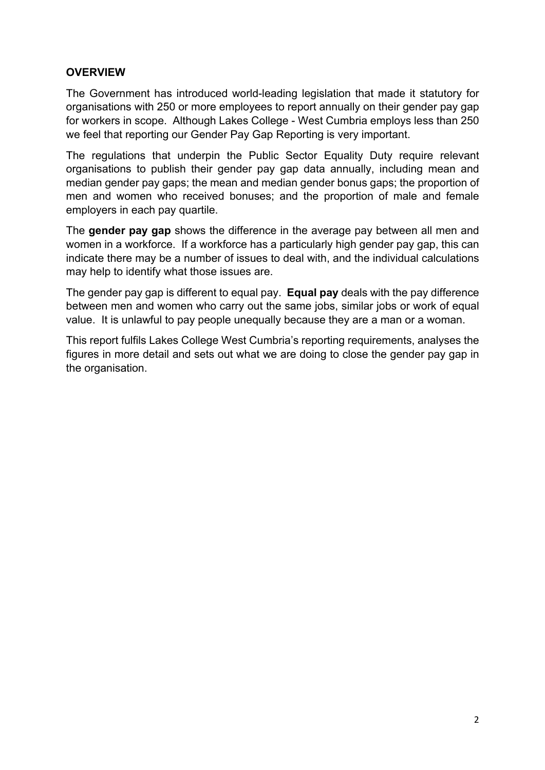## **OVERVIEW**

The Government has introduced world-leading legislation that made it statutory for organisations with 250 or more employees to report annually on their gender pay gap for workers in scope. Although Lakes College - West Cumbria employs less than 250 we feel that reporting our Gender Pay Gap Reporting is very important.

The regulations that underpin the Public Sector Equality Duty require relevant organisations to publish their gender pay gap data annually, including mean and median gender pay gaps; the mean and median gender bonus gaps; the proportion of men and women who received bonuses; and the proportion of male and female employers in each pay quartile.

The **gender pay gap** shows the difference in the average pay between all men and women in a workforce. If a workforce has a particularly high gender pay gap, this can indicate there may be a number of issues to deal with, and the individual calculations may help to identify what those issues are.

The gender pay gap is different to equal pay. **Equal pay** deals with the pay difference between men and women who carry out the same jobs, similar jobs or work of equal value. It is unlawful to pay people unequally because they are a man or a woman.

This report fulfils Lakes College West Cumbria's reporting requirements, analyses the figures in more detail and sets out what we are doing to close the gender pay gap in the organisation.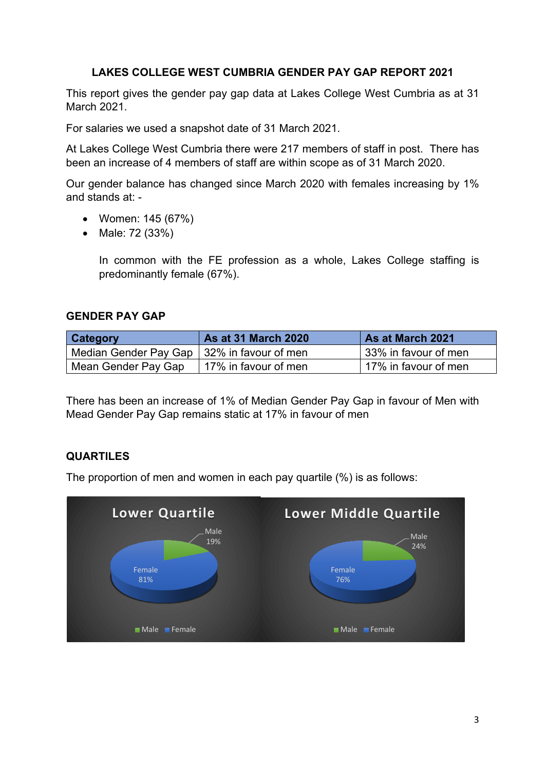## **LAKES COLLEGE WEST CUMBRIA GENDER PAY GAP REPORT 2021**

This report gives the gender pay gap data at Lakes College West Cumbria as at 31 March 2021.

For salaries we used a snapshot date of 31 March 2021.

At Lakes College West Cumbria there were 217 members of staff in post. There has been an increase of 4 members of staff are within scope as of 31 March 2020.

Our gender balance has changed since March 2020 with females increasing by 1% and stands at: -

- Women: 145 (67%)
- Male: 72 (33%)

In common with the FE profession as a whole, Lakes College staffing is predominantly female (67%).

#### **GENDER PAY GAP**

| <b>Category</b>                              | <b>As at 31 March 2020</b> | As at March 2021     |
|----------------------------------------------|----------------------------|----------------------|
| Median Gender Pay Gap   32% in favour of men |                            | 33% in favour of men |
| Mean Gender Pay Gap                          | 17% in favour of men       | 17% in favour of men |

There has been an increase of 1% of Median Gender Pay Gap in favour of Men with Mead Gender Pay Gap remains static at 17% in favour of men

## **QUARTILES**

The proportion of men and women in each pay quartile (%) is as follows: